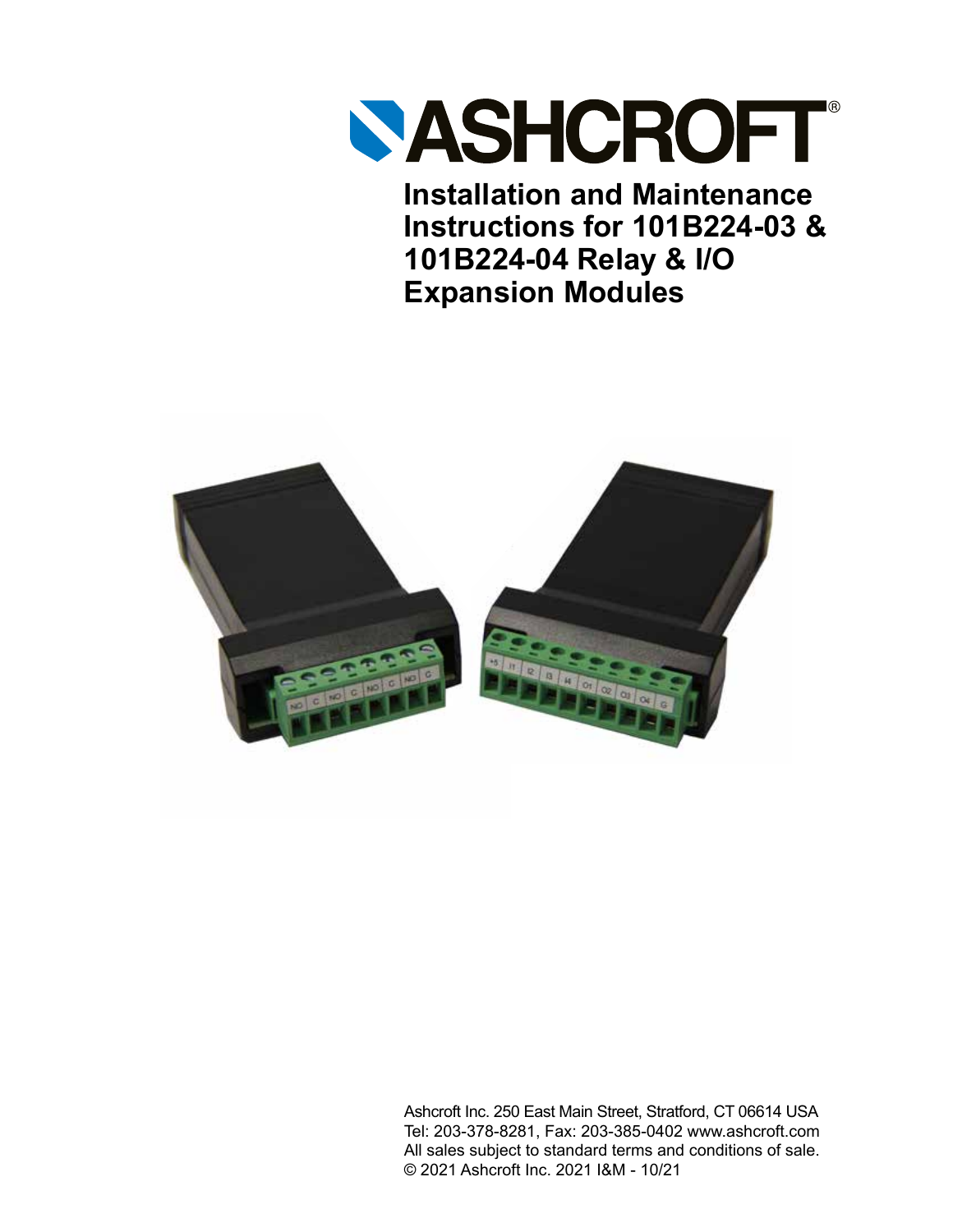

**Installation and Maintenance Instructions for 101B224-03 & 101B224-04 Relay & I/O Expansion Modules**



Ashcroft Inc. 250 East Main Street, Stratford, CT 06614 USA Tel: 203-378-8281, Fax: 203-385-0402 www.ashcroft.com All sales subject to standard terms and conditions of sale. © 2021 Ashcroft Inc. 2021 I&M - 10/21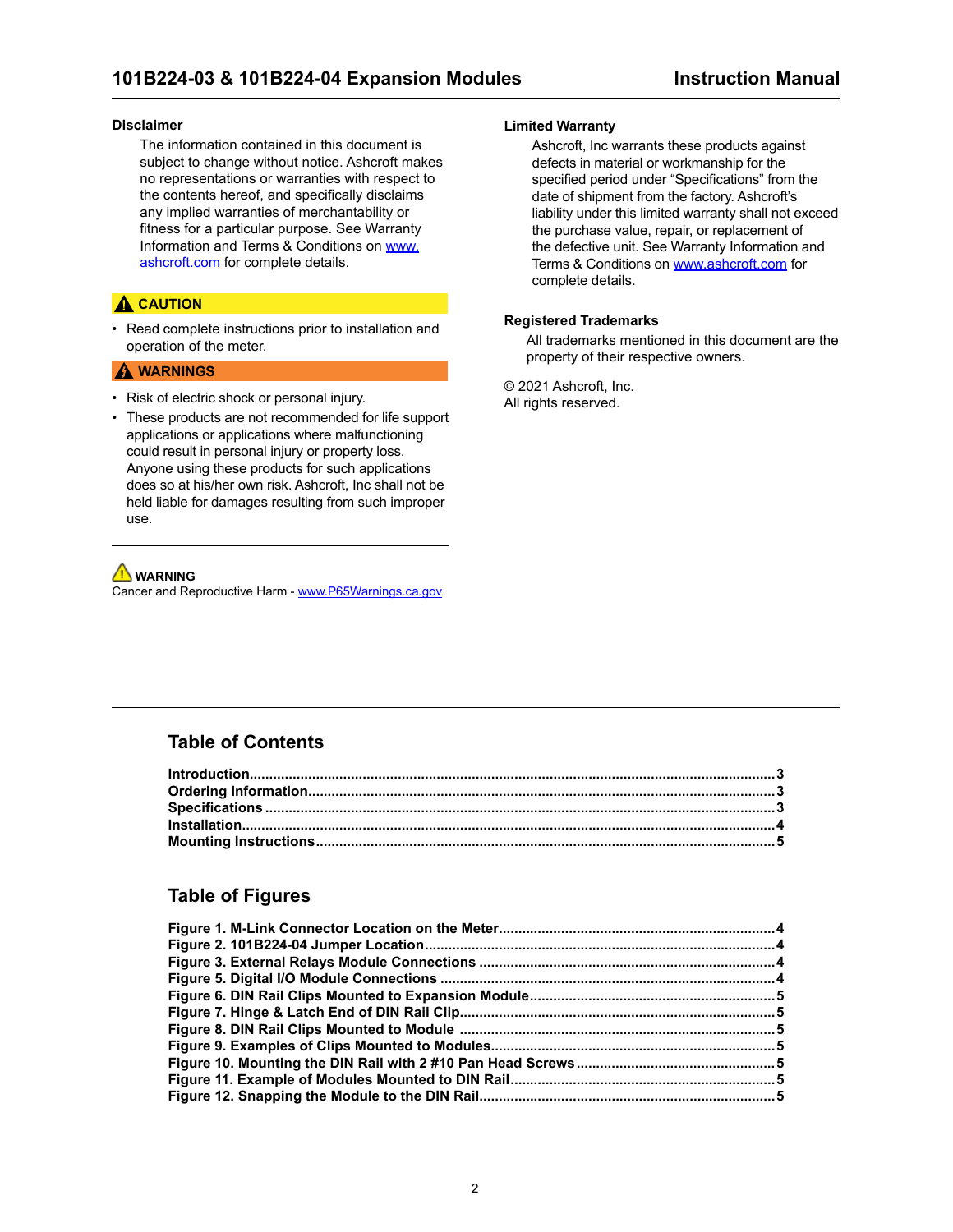#### **Disclaimer**

The information contained in this document is subject to change without notice. Ashcroft makes no representations or warranties with respect to the contents hereof, and specifically disclaims any implied warranties of merchantability or fitness for a particular purpose. See Warranty Information and Terms & Conditions on [www.](https://www.ashcroft.com/) [ashcroft.com](https://www.ashcroft.com/) for complete details.

### **A** CAUTION

• Read complete instructions prior to installation and operation of the meter.

#### **A** WARNINGS

- Risk of electric shock or personal injury.
- These products are not recommended for life support applications or applications where malfunctioning could result in personal injury or property loss. Anyone using these products for such applications does so at his/her own risk. Ashcroft, Inc shall not be held liable for damages resulting from such improper use.

### **WARNING**

Cancer and Reproductive Harm - [www.P65Warnings.ca.gov](http://www.P65Warnings.ca.gov)

#### **Limited Warranty**

Ashcroft, Inc warrants these products against defects in material or workmanship for the specified period under "Specifications" from the date of shipment from the factory. Ashcroft's liability under this limited warranty shall not exceed the purchase value, repair, or replacement of the defective unit. See Warranty Information and Terms & Conditions on [www.ashcroft.com](https://www.ashcroft.com/) for complete details.

#### **Registered Trademarks**

All trademarks mentioned in this document are the property of their respective owners.

© 2021 Ashcroft, Inc. All rights reserved.

### **Table of Contents**

### **Table of Figures**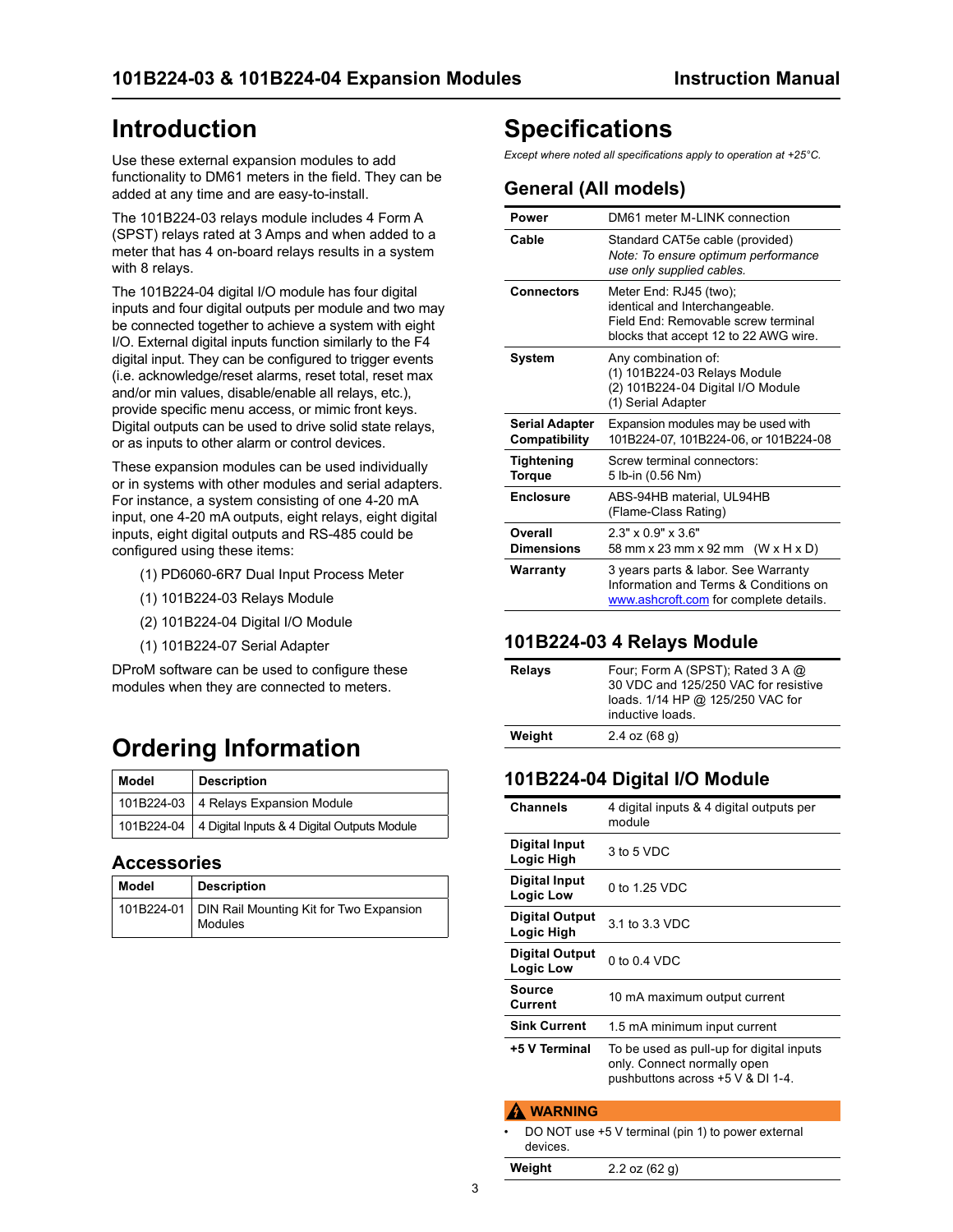# <span id="page-2-0"></span>**Introduction**

Use these external expansion modules to add functionality to DM61 meters in the field. They can be added at any time and are easy-to-install.

The 101B224-03 relays module includes 4 Form A (SPST) relays rated at 3 Amps and when added to a meter that has 4 on-board relays results in a system with 8 relays.

The 101B224-04 digital I/O module has four digital inputs and four digital outputs per module and two may be connected together to achieve a system with eight I/O. External digital inputs function similarly to the F4 digital input. They can be configured to trigger events (i.e. acknowledge/reset alarms, reset total, reset max and/or min values, disable/enable all relays, etc.), provide specific menu access, or mimic front keys. Digital outputs can be used to drive solid state relays, or as inputs to other alarm or control devices.

These expansion modules can be used individually or in systems with other modules and serial adapters. For instance, a system consisting of one 4-20 mA input, one 4-20 mA outputs, eight relays, eight digital inputs, eight digital outputs and RS-485 could be configured using these items:

- (1) PD6060-6R7 Dual Input Process Meter
- (1) 101B224-03 Relays Module
- (2) 101B224-04 Digital I/O Module
- (1) 101B224-07 Serial Adapter

DProM software can be used to configure these modules when they are connected to meters.

# **Ordering Information**

| Model      | <b>Description</b>                          |
|------------|---------------------------------------------|
|            | 101B224-03   4 Relays Expansion Module      |
| 101B224-04 | 4 Digital Inputs & 4 Digital Outputs Module |

### **Accessories**

| Model | <b>Description</b>                                              |
|-------|-----------------------------------------------------------------|
|       | 101B224-01   DIN Rail Mounting Kit for Two Expansion<br>Modules |

# **Specifications**

*Except where noted all specifications apply to operation at +25°C.*

## **General (All models)**

| Power                                  | DM61 meter M-I INK connection                                                                                                            |
|----------------------------------------|------------------------------------------------------------------------------------------------------------------------------------------|
| Cable                                  | Standard CAT5e cable (provided)<br>Note: To ensure optimum performance<br>use only supplied cables.                                      |
| Connectors                             | Meter End: RJ45 (two);<br>identical and Interchangeable.<br>Field Fnd: Removable screw terminal<br>blocks that accept 12 to 22 AWG wire. |
| System                                 | Any combination of:<br>(1) 101B224-03 Relays Module<br>(2) 101B224-04 Digital I/O Module<br>(1) Serial Adapter                           |
| <b>Serial Adapter</b><br>Compatibility | Expansion modules may be used with<br>101B224-07, 101B224-06, or 101B224-08                                                              |
| Tightening<br>Torque                   | Screw terminal connectors:<br>5 lb-in (0.56 Nm)                                                                                          |
| <b>Enclosure</b>                       | ABS-94HB material, UL94HB<br>(Flame-Class Rating)                                                                                        |
| Overall<br><b>Dimensions</b>           | $2.3" \times 0.9" \times 3.6"$<br>58 mm x 23 mm x 92 mm (W x H x D)                                                                      |
| Warranty                               | 3 years parts & labor. See Warranty<br>Information and Terms & Conditions on<br>www.ashcroft.com for complete details.                   |

## **101B224-03 4 Relays Module**

| Four: Form A (SPST): Rated 3 A @<br>30 VDC and 125/250 VAC for resistive<br>loads. 1/14 HP @ 125/250 VAC for<br>inductive loads. |
|----------------------------------------------------------------------------------------------------------------------------------|
| $2.4$ oz $(68q)$                                                                                                                 |
|                                                                                                                                  |

## **101B224-04 Digital I/O Module**

| <b>Channels</b>              | 4 digital inputs & 4 digital outputs per<br>module                                                           |
|------------------------------|--------------------------------------------------------------------------------------------------------------|
| Digital Input<br>Logic High  | 3 to 5 VDC                                                                                                   |
| Digital Input<br>Logic Low   | 0 to 1.25 VDC                                                                                                |
| Digital Output<br>Logic High | 3.1 to 3.3 VDC                                                                                               |
| Digital Output<br>Logic Low  | 0 to $0.4$ VDC                                                                                               |
| Source<br>Current            | 10 mA maximum output current                                                                                 |
| <b>Sink Current</b>          | 1.5 mA minimum input current                                                                                 |
| +5 V Terminal                | To be used as pull-up for digital inputs<br>only. Connect normally open<br>pushbuttons across +5 V & DI 1-4. |
| WARNING                      |                                                                                                              |

DO NOT use +5 V terminal (pin 1) to power external devices.

**Weight** 2.2 oz (62 g)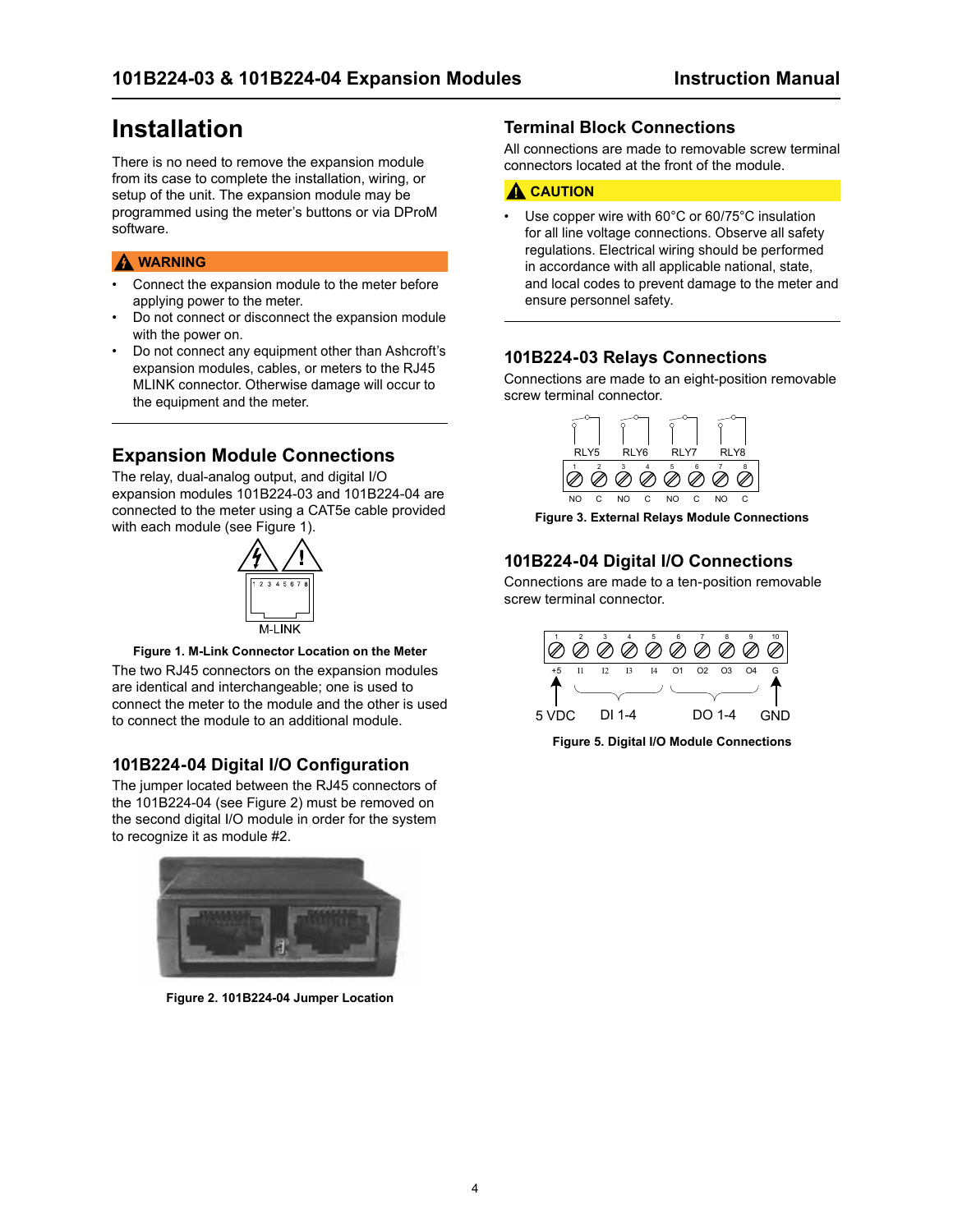# <span id="page-3-0"></span>**Installation**

There is no need to remove the expansion module from its case to complete the installation, wiring, or setup of the unit. The expansion module may be programmed using the meter's buttons or via DProM software.

### **A** WARNING

- Connect the expansion module to the meter before applying power to the meter.
- Do not connect or disconnect the expansion module with the power on.
- Do not connect any equipment other than Ashcroft's expansion modules, cables, or meters to the RJ45 MLINK connector. Otherwise damage will occur to the equipment and the meter.

## **Expansion Module Connections**

The relay, dual-analog output, and digital I/O expansion modules 101B224-03 and 101B224-04 are connected to the meter using a CAT5e cable provided with each module (see Figure 1).





The two RJ45 connectors on the expansion modules are identical and interchangeable; one is used to connect the meter to the module and the other is used to connect the module to an additional module.

### **101B224-04 Digital I/O Configuration**

The jumper located between the RJ45 connectors of the 101B224-04 (see Figure 2) must be removed on the second digital I/O module in order for the system to recognize it as module #2.



**Figure 2. 101B224-04 Jumper Location**

### **Terminal Block Connections**

All connections are made to removable screw terminal connectors located at the front of the module.

### **A** CAUTION

Use copper wire with 60°C or 60/75°C insulation for all line voltage connections. Observe all safety regulations. Electrical wiring should be performed in accordance with all applicable national, state, and local codes to prevent damage to the meter and ensure personnel safety.

### **101B224-03 Relays Connections**

Connections are made to an eight-position removable screw terminal connector.



**Figure 3. External Relays Module Connections**

## **101B224-04 Digital I/O Connections**

Connections are made to a ten-position removable screw terminal connector.



**Figure 5. Digital I/O Module Connections**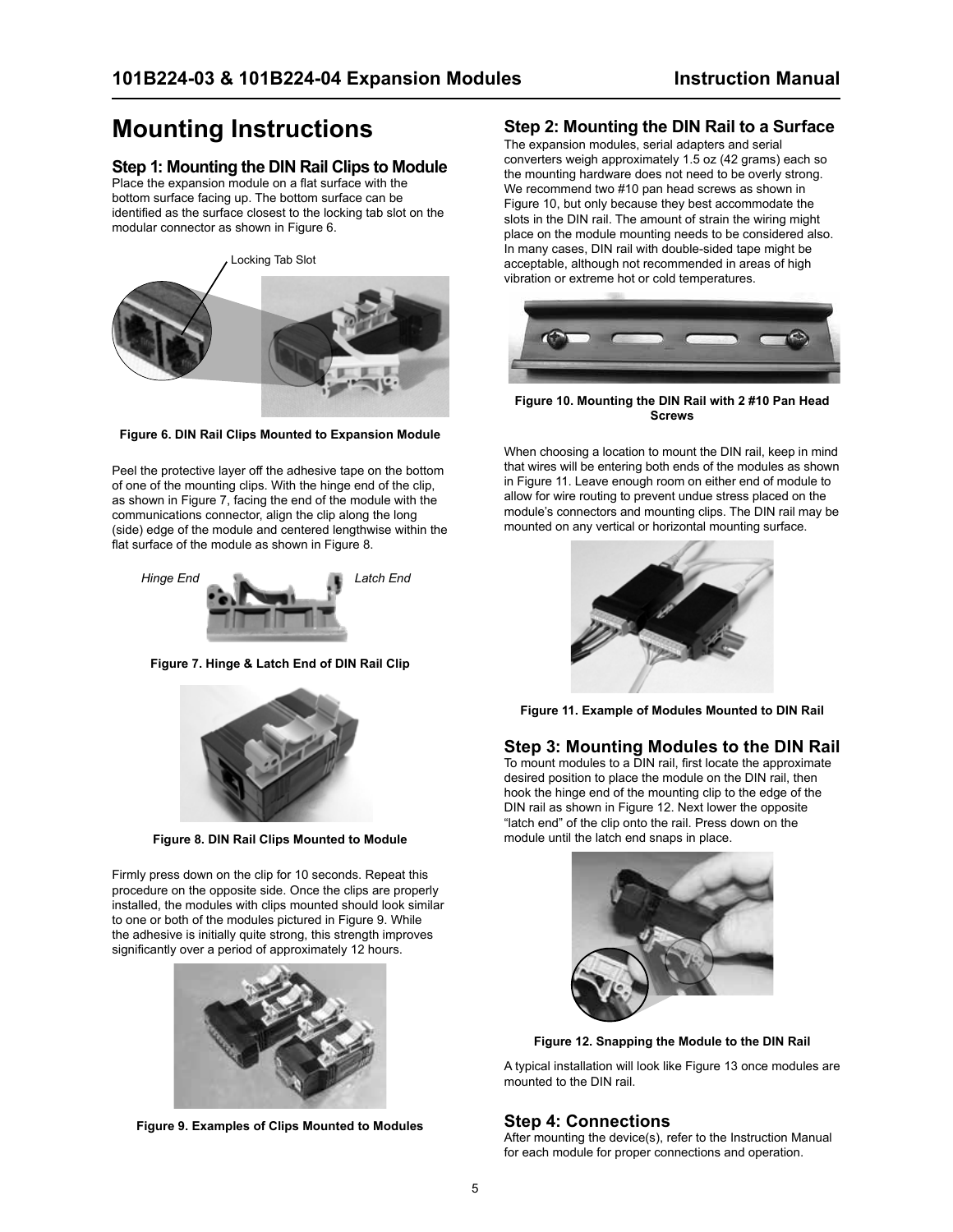# <span id="page-4-0"></span>**Mounting Instructions**

### **Step 1: Mounting the DIN Rail Clips to Module**

Place the expansion module on a flat surface with the bottom surface facing up. The bottom surface can be identified as the surface closest to the locking tab slot on the modular connector as shown in Figure 6.

Locking Tab Slot



**Figure 6. DIN Rail Clips Mounted to Expansion Module**

Peel the protective layer off the adhesive tape on the bottom of one of the mounting clips. With the hinge end of the clip, as shown in Figure 7, facing the end of the module with the communications connector, align the clip along the long (side) edge of the module and centered lengthwise within the flat surface of the module as shown in Figure 8.



**Figure 7. Hinge & Latch End of DIN Rail Clip**



**Figure 8. DIN Rail Clips Mounted to Module** 

Firmly press down on the clip for 10 seconds. Repeat this procedure on the opposite side. Once the clips are properly installed, the modules with clips mounted should look similar to one or both of the modules pictured in Figure 9. While the adhesive is initially quite strong, this strength improves significantly over a period of approximately 12 hours.



**Figure 9. Examples of Clips Mounted to Modules**

### **Step 2: Mounting the DIN Rail to a Surface**

The expansion modules, serial adapters and serial converters weigh approximately 1.5 oz (42 grams) each so the mounting hardware does not need to be overly strong. We recommend two #10 pan head screws as shown in Figure 10, but only because they best accommodate the slots in the DIN rail. The amount of strain the wiring might place on the module mounting needs to be considered also. In many cases, DIN rail with double-sided tape might be acceptable, although not recommended in areas of high vibration or extreme hot or cold temperatures.



**Figure 10. Mounting the DIN Rail with 2 #10 Pan Head Screws**

When choosing a location to mount the DIN rail, keep in mind that wires will be entering both ends of the modules as shown in Figure 11. Leave enough room on either end of module to allow for wire routing to prevent undue stress placed on the module's connectors and mounting clips. The DIN rail may be mounted on any vertical or horizontal mounting surface.



**Figure 11. Example of Modules Mounted to DIN Rail**

#### **Step 3: Mounting Modules to the DIN Rail**

To mount modules to a DIN rail, first locate the approximate desired position to place the module on the DIN rail, then hook the hinge end of the mounting clip to the edge of the DIN rail as shown in Figure 12. Next lower the opposite "latch end" of the clip onto the rail. Press down on the module until the latch end snaps in place.



**Figure 12. Snapping the Module to the DIN Rail**

A typical installation will look like Figure 13 once modules are mounted to the DIN rail.

### **Step 4: Connections**

After mounting the device(s), refer to the Instruction Manual for each module for proper connections and operation.